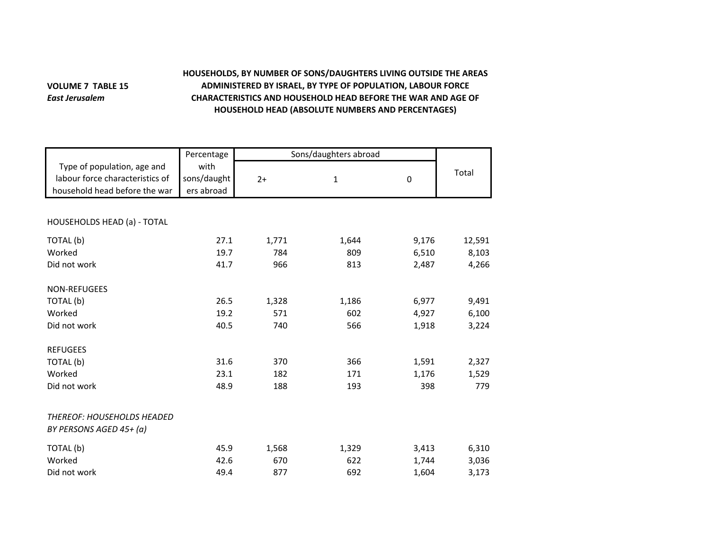## **VOLUME 7 TABLE 15** *East Jerusalem*

## **HOUSEHOLDS, BY NUMBER OF SONS/DAUGHTERS LIVING OUTSIDE THE AREAS ADMINISTERED BY ISRAEL, BY TYPE OF POPULATION, LABOUR FORCE CHARACTERISTICS AND HOUSEHOLD HEAD BEFORE THE WAR AND AGE OF HOUSEHOLD HEAD (ABSOLUTE NUMBERS AND PERCENTAGES)**

|                                 | Percentage  | Sons/daughters abroad |             |             |        |
|---------------------------------|-------------|-----------------------|-------------|-------------|--------|
| Type of population, age and     | with        |                       |             |             | Total  |
| labour force characteristics of | sons/daught | $2+$                  | $\mathbf 1$ | $\mathbf 0$ |        |
| household head before the war   | ers abroad  |                       |             |             |        |
|                                 |             |                       |             |             |        |
| HOUSEHOLDS HEAD (a) - TOTAL     |             |                       |             |             |        |
| TOTAL (b)                       | 27.1        | 1,771                 | 1,644       | 9,176       | 12,591 |
| Worked                          | 19.7        | 784                   | 809         | 6,510       | 8,103  |
| Did not work                    | 41.7        | 966                   | 813         | 2,487       | 4,266  |
| NON-REFUGEES                    |             |                       |             |             |        |
| TOTAL (b)                       | 26.5        | 1,328                 | 1,186       | 6,977       | 9,491  |
| Worked                          | 19.2        | 571                   | 602         | 4,927       | 6,100  |
| Did not work                    | 40.5        | 740                   | 566         | 1,918       | 3,224  |
| <b>REFUGEES</b>                 |             |                       |             |             |        |
| TOTAL (b)                       | 31.6        | 370                   | 366         | 1,591       | 2,327  |
| Worked                          | 23.1        | 182                   | 171         | 1,176       | 1,529  |
| Did not work                    | 48.9        | 188                   | 193         | 398         | 779    |
| THEREOF: HOUSEHOLDS HEADED      |             |                       |             |             |        |
| BY PERSONS AGED 45+ (a)         |             |                       |             |             |        |
| TOTAL (b)                       | 45.9        | 1,568                 | 1,329       | 3,413       | 6,310  |
| Worked                          | 42.6        | 670                   | 622         | 1,744       | 3,036  |
| Did not work                    | 49.4        | 877                   | 692         | 1,604       | 3,173  |